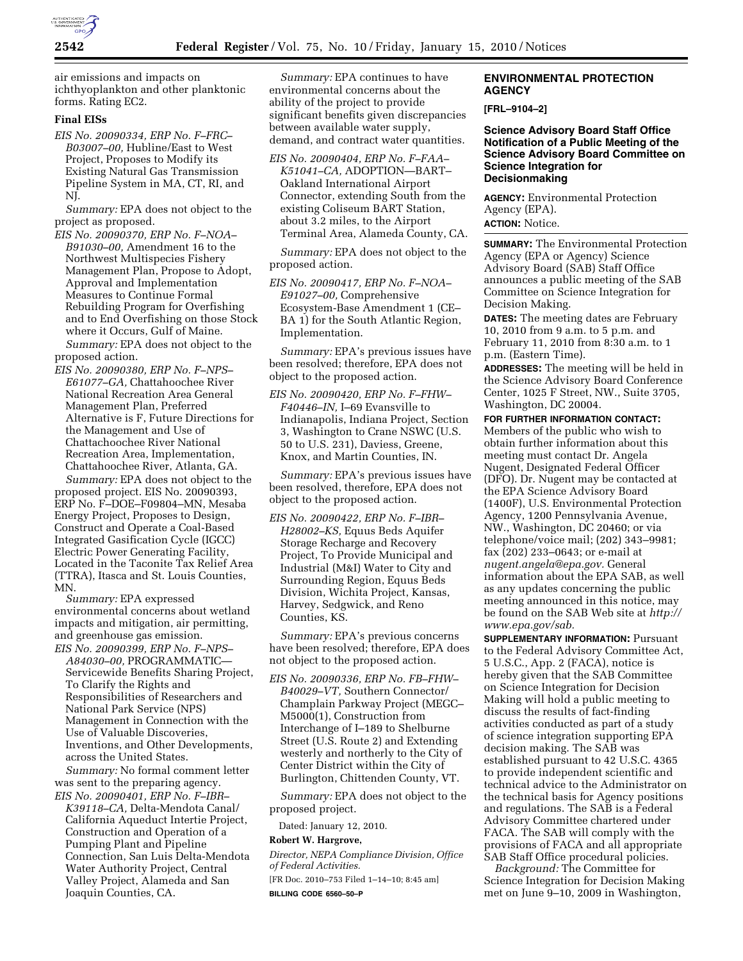

air emissions and impacts on ichthyoplankton and other planktonic forms. Rating EC2.

# **Final EISs**

*EIS No. 20090334, ERP No. F–FRC– B03007–00,* Hubline/East to West Project, Proposes to Modify its Existing Natural Gas Transmission Pipeline System in MA, CT, RI, and NJ.

*Summary:* EPA does not object to the project as proposed.

*EIS No. 20090370, ERP No. F–NOA– B91030–00,* Amendment 16 to the Northwest Multispecies Fishery Management Plan, Propose to Adopt, Approval and Implementation Measures to Continue Formal Rebuilding Program for Overfishing and to End Overfishing on those Stock where it Occurs, Gulf of Maine. *Summary:* EPA does not object to the

proposed action.

*EIS No. 20090380, ERP No. F–NPS– E61077–GA,* Chattahoochee River National Recreation Area General Management Plan, Preferred Alternative is F, Future Directions for the Management and Use of Chattachoochee River National Recreation Area, Implementation, Chattahoochee River, Atlanta, GA.

*Summary:* EPA does not object to the proposed project. EIS No. 20090393, ERP No. F–DOE–F09804–MN, Mesaba Energy Project, Proposes to Design, Construct and Operate a Coal-Based Integrated Gasification Cycle (IGCC) Electric Power Generating Facility, Located in the Taconite Tax Relief Area (TTRA), Itasca and St. Louis Counties, MN.

*Summary:* EPA expressed environmental concerns about wetland impacts and mitigation, air permitting, and greenhouse gas emission.

*EIS No. 20090399, ERP No. F–NPS– A84030–00,* PROGRAMMATIC— Servicewide Benefits Sharing Project, To Clarify the Rights and Responsibilities of Researchers and National Park Service (NPS) Management in Connection with the Use of Valuable Discoveries, Inventions, and Other Developments, across the United States.

*Summary:* No formal comment letter was sent to the preparing agency.

*EIS No. 20090401, ERP No. F–IBR– K39118–CA,* Delta-Mendota Canal/ California Aqueduct Intertie Project, Construction and Operation of a Pumping Plant and Pipeline Connection, San Luis Delta-Mendota Water Authority Project, Central Valley Project, Alameda and San Joaquin Counties, CA.

*Summary:* EPA continues to have environmental concerns about the ability of the project to provide significant benefits given discrepancies between available water supply, demand, and contract water quantities.

*EIS No. 20090404, ERP No. F–FAA– K51041–CA,* ADOPTION—BART– Oakland International Airport Connector, extending South from the existing Coliseum BART Station, about 3.2 miles, to the Airport Terminal Area, Alameda County, CA.

*Summary:* EPA does not object to the proposed action.

*EIS No. 20090417, ERP No. F–NOA– E91027–00,* Comprehensive Ecosystem-Base Amendment 1 (CE– BA 1) for the South Atlantic Region, Implementation.

*Summary:* EPA's previous issues have been resolved; therefore, EPA does not object to the proposed action.

*EIS No. 20090420, ERP No. F–FHW– F40446–IN,* I–69 Evansville to Indianapolis, Indiana Project, Section 3, Washington to Crane NSWC (U.S. 50 to U.S. 231), Daviess, Greene, Knox, and Martin Counties, IN.

*Summary:* EPA's previous issues have been resolved, therefore, EPA does not object to the proposed action.

*EIS No. 20090422, ERP No. F–IBR– H28002–KS,* Equus Beds Aquifer Storage Recharge and Recovery Project, To Provide Municipal and Industrial (M&I) Water to City and Surrounding Region, Equus Beds Division, Wichita Project, Kansas, Harvey, Sedgwick, and Reno Counties, KS.

*Summary:* EPA's previous concerns have been resolved; therefore, EPA does not object to the proposed action.

*EIS No. 20090336, ERP No. FB–FHW– B40029–VT,* Southern Connector/ Champlain Parkway Project (MEGC– M5000(1), Construction from Interchange of I–189 to Shelburne Street (U.S. Route 2) and Extending westerly and northerly to the City of Center District within the City of Burlington, Chittenden County, VT.

*Summary:* EPA does not object to the proposed project.

Dated: January 12, 2010.

# **Robert W. Hargrove,**

*Director, NEPA Compliance Division, Office of Federal Activities.* 

[FR Doc. 2010–753 Filed 1–14–10; 8:45 am] **BILLING CODE 6560–50–P** 

## **ENVIRONMENTAL PROTECTION AGENCY**

**[FRL–9104–2]** 

### **Science Advisory Board Staff Office Notification of a Public Meeting of the Science Advisory Board Committee on Science Integration for Decisionmaking**

**AGENCY:** Environmental Protection Agency (EPA). **ACTION:** Notice.

**SUMMARY:** The Environmental Protection

Agency (EPA or Agency) Science Advisory Board (SAB) Staff Office announces a public meeting of the SAB Committee on Science Integration for Decision Making.

**DATES:** The meeting dates are February 10, 2010 from 9 a.m. to 5 p.m. and February 11, 2010 from 8:30 a.m. to 1 p.m. (Eastern Time).

**ADDRESSES:** The meeting will be held in the Science Advisory Board Conference Center, 1025 F Street, NW., Suite 3705, Washington, DC 20004.

**FOR FURTHER INFORMATION CONTACT:**  Members of the public who wish to obtain further information about this meeting must contact Dr. Angela Nugent, Designated Federal Officer (DFO). Dr. Nugent may be contacted at the EPA Science Advisory Board (1400F), U.S. Environmental Protection Agency, 1200 Pennsylvania Avenue, NW., Washington, DC 20460; or via telephone/voice mail; (202) 343–9981; fax (202) 233–0643; or e-mail at *nugent.angela@epa.gov.* General information about the EPA SAB, as well as any updates concerning the public meeting announced in this notice, may be found on the SAB Web site at *http:// www.epa.gov/sab.* 

**SUPPLEMENTARY INFORMATION: Pursuant** to the Federal Advisory Committee Act, 5 U.S.C., App. 2 (FACA), notice is hereby given that the SAB Committee on Science Integration for Decision Making will hold a public meeting to discuss the results of fact-finding activities conducted as part of a study of science integration supporting EPA decision making. The SAB was established pursuant to 42 U.S.C. 4365 to provide independent scientific and technical advice to the Administrator on the technical basis for Agency positions and regulations. The SAB is a Federal Advisory Committee chartered under FACA. The SAB will comply with the provisions of FACA and all appropriate SAB Staff Office procedural policies.

*Background:* The Committee for Science Integration for Decision Making met on June 9–10, 2009 in Washington,